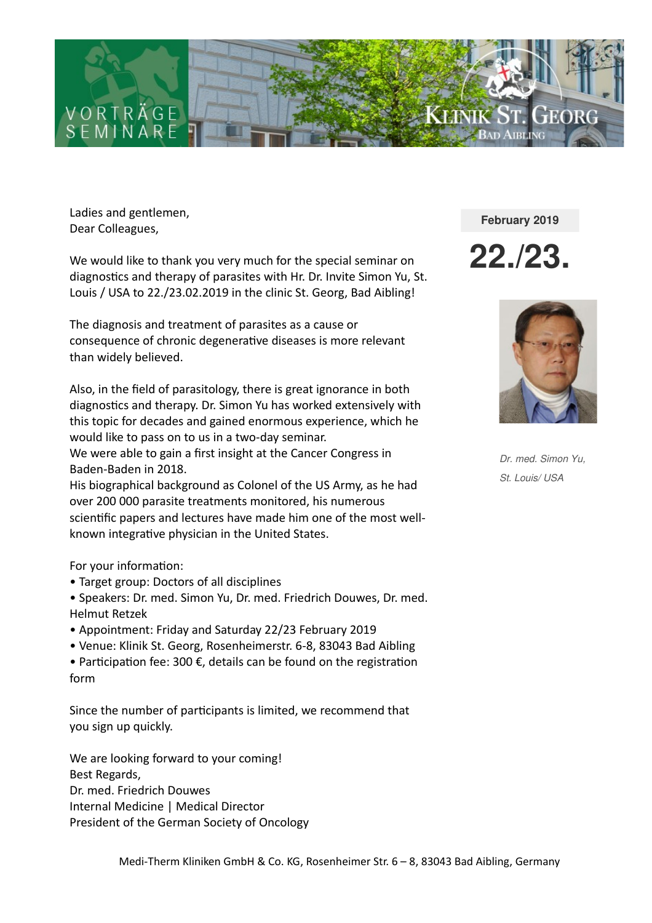

Ladies and gentlemen, Dear Colleagues,

We would like to thank you very much for the special seminar on diagnostics and therapy of parasites with Hr. Dr. Invite Simon Yu, St. Louis / USA to 22./23.02.2019 in the clinic St. Georg, Bad Aibling!

The diagnosis and treatment of parasites as a cause or consequence of chronic degenerative diseases is more relevant than widely believed.

Also, in the field of parasitology, there is great ignorance in both diagnostics and therapy. Dr. Simon Yu has worked extensively with this topic for decades and gained enormous experience, which he would like to pass on to us in a two-day seminar. We were able to gain a first insight at the Cancer Congress in

Baden-Baden in 2018.

His biographical background as Colonel of the US Army, as he had over 200 000 parasite treatments monitored, his numerous scientific papers and lectures have made him one of the most wellknown integrative physician in the United States.

### For your information:

- Target group: Doctors of all disciplines
- Speakers: Dr. med. Simon Yu, Dr. med. Friedrich Douwes, Dr. med. Helmut Retzek
- Appointment: Friday and Saturday 22/23 February 2019
- Venue: Klinik St. Georg, Rosenheimerstr. 6-8, 83043 Bad Aibling
- Participation fee: 300 €, details can be found on the registration form

Since the number of participants is limited, we recommend that you sign up quickly.

We are looking forward to your coming! Best Regards, Dr. med. Friedrich Douwes Internal Medicine | Medical Director President of the German Society of Oncology **February 2019**

**22./23.**



*Dr. med. Simon Yu, St. Louis/ USA*